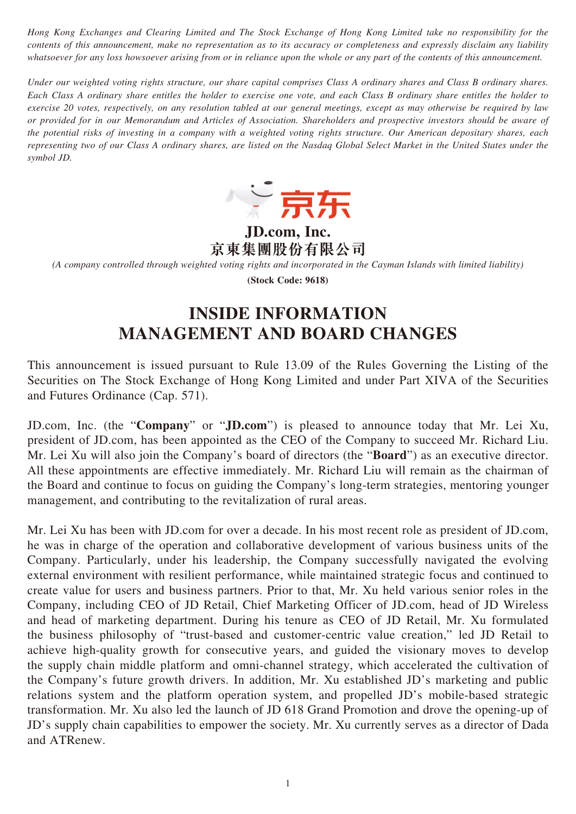*Hong Kong Exchanges and Clearing Limited and The Stock Exchange of Hong Kong Limited take no responsibility for the contents of this announcement, make no representation as to its accuracy or completeness and expressly disclaim any liability whatsoever for any loss howsoever arising from or in reliance upon the whole or any part of the contents of this announcement.*

*Under our weighted voting rights structure, our share capital comprises Class A ordinary shares and Class B ordinary shares. Each Class A ordinary share entitles the holder to exercise one vote, and each Class B ordinary share entitles the holder to exercise 20 votes, respectively, on any resolution tabled at our general meetings, except as may otherwise be required by law or provided for in our Memorandum and Articles of Association. Shareholders and prospective investors should be aware of the potential risks of investing in a company with a weighted voting rights structure. Our American depositary shares, each representing two of our Class A ordinary shares, are listed on the Nasdaq Global Select Market in the United States under the symbol JD.*



**JD.com, Inc. 京東集團股份有限公司**

*(A company controlled through weighted voting rights and incorporated in the Cayman Islands with limited liability)*

**(Stock Code: 9618)**

# **INSIDE INFORMATION MANAGEMENT AND BOARD CHANGES**

This announcement is issued pursuant to Rule 13.09 of the Rules Governing the Listing of the Securities on The Stock Exchange of Hong Kong Limited and under Part XIVA of the Securities and Futures Ordinance (Cap. 571).

JD.com, Inc. (the "**Company**" or "**JD.com**") is pleased to announce today that Mr. Lei Xu, president of JD.com, has been appointed as the CEO of the Company to succeed Mr. Richard Liu. Mr. Lei Xu will also join the Company's board of directors (the "**Board**") as an executive director. All these appointments are effective immediately. Mr. Richard Liu will remain as the chairman of the Board and continue to focus on guiding the Company's long-term strategies, mentoring younger management, and contributing to the revitalization of rural areas.

Mr. Lei Xu has been with JD.com for over a decade. In his most recent role as president of JD.com, he was in charge of the operation and collaborative development of various business units of the Company. Particularly, under his leadership, the Company successfully navigated the evolving external environment with resilient performance, while maintained strategic focus and continued to create value for users and business partners. Prior to that, Mr. Xu held various senior roles in the Company, including CEO of JD Retail, Chief Marketing Officer of JD.com, head of JD Wireless and head of marketing department. During his tenure as CEO of JD Retail, Mr. Xu formulated the business philosophy of "trust-based and customer-centric value creation," led JD Retail to achieve high-quality growth for consecutive years, and guided the visionary moves to develop the supply chain middle platform and omni-channel strategy, which accelerated the cultivation of the Company's future growth drivers. In addition, Mr. Xu established JD's marketing and public relations system and the platform operation system, and propelled JD's mobile-based strategic transformation. Mr. Xu also led the launch of JD 618 Grand Promotion and drove the opening-up of JD's supply chain capabilities to empower the society. Mr. Xu currently serves as a director of Dada and ATRenew.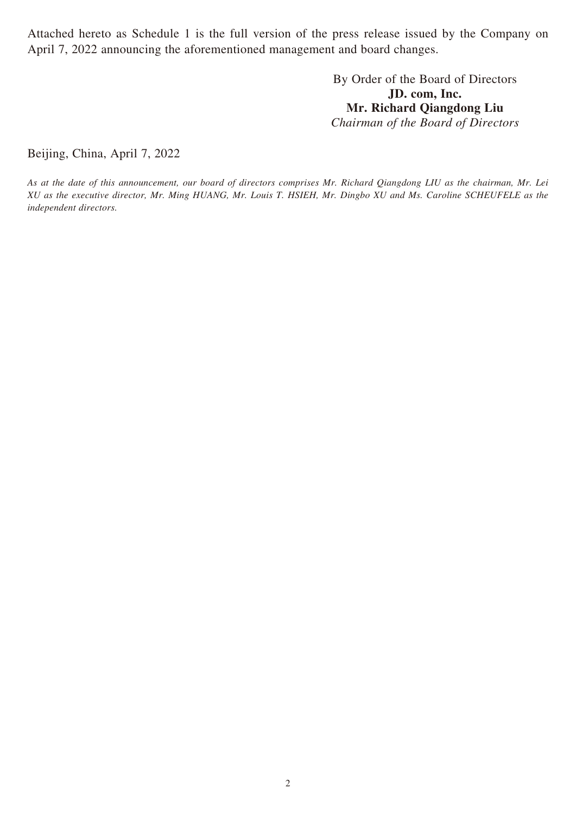Attached hereto as Schedule 1 is the full version of the press release issued by the Company on April 7, 2022 announcing the aforementioned management and board changes.

> By Order of the Board of Directors **JD. com, Inc. Mr. Richard Qiangdong Liu** *Chairman of the Board of Directors*

Beijing, China, April 7, 2022

*As at the date of this announcement, our board of directors comprises Mr. Richard Qiangdong LIU as the chairman, Mr. Lei XU as the executive director, Mr. Ming HUANG, Mr. Louis T. HSIEH, Mr. Dingbo XU and Ms. Caroline SCHEUFELE as the independent directors.*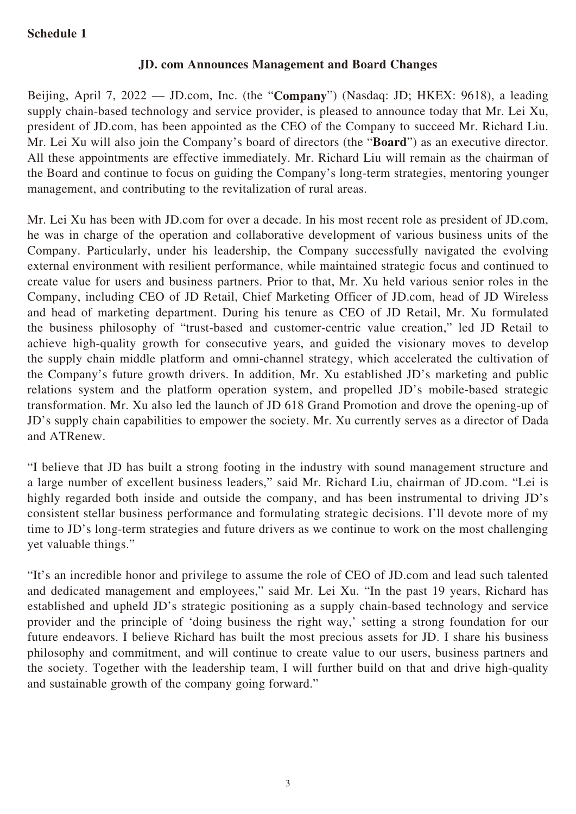## **Schedule 1**

### **JD. com Announces Management and Board Changes**

Beijing, April 7, 2022 –– JD.com, Inc. (the "**Company**") (Nasdaq: JD; HKEX: 9618), a leading supply chain-based technology and service provider, is pleased to announce today that Mr. Lei Xu, president of JD.com, has been appointed as the CEO of the Company to succeed Mr. Richard Liu. Mr. Lei Xu will also join the Company's board of directors (the "**Board**") as an executive director. All these appointments are effective immediately. Mr. Richard Liu will remain as the chairman of the Board and continue to focus on guiding the Company's long-term strategies, mentoring younger management, and contributing to the revitalization of rural areas.

Mr. Lei Xu has been with JD.com for over a decade. In his most recent role as president of JD.com, he was in charge of the operation and collaborative development of various business units of the Company. Particularly, under his leadership, the Company successfully navigated the evolving external environment with resilient performance, while maintained strategic focus and continued to create value for users and business partners. Prior to that, Mr. Xu held various senior roles in the Company, including CEO of JD Retail, Chief Marketing Officer of JD.com, head of JD Wireless and head of marketing department. During his tenure as CEO of JD Retail, Mr. Xu formulated the business philosophy of "trust-based and customer-centric value creation," led JD Retail to achieve high-quality growth for consecutive years, and guided the visionary moves to develop the supply chain middle platform and omni-channel strategy, which accelerated the cultivation of the Company's future growth drivers. In addition, Mr. Xu established JD's marketing and public relations system and the platform operation system, and propelled JD's mobile-based strategic transformation. Mr. Xu also led the launch of JD 618 Grand Promotion and drove the opening-up of JD's supply chain capabilities to empower the society. Mr. Xu currently serves as a director of Dada and ATRenew.

"I believe that JD has built a strong footing in the industry with sound management structure and a large number of excellent business leaders," said Mr. Richard Liu, chairman of JD.com. "Lei is highly regarded both inside and outside the company, and has been instrumental to driving JD's consistent stellar business performance and formulating strategic decisions. I'll devote more of my time to JD's long-term strategies and future drivers as we continue to work on the most challenging yet valuable things."

"It's an incredible honor and privilege to assume the role of CEO of JD.com and lead such talented and dedicated management and employees," said Mr. Lei Xu. "In the past 19 years, Richard has established and upheld JD's strategic positioning as a supply chain-based technology and service provider and the principle of 'doing business the right way,' setting a strong foundation for our future endeavors. I believe Richard has built the most precious assets for JD. I share his business philosophy and commitment, and will continue to create value to our users, business partners and the society. Together with the leadership team, I will further build on that and drive high-quality and sustainable growth of the company going forward."